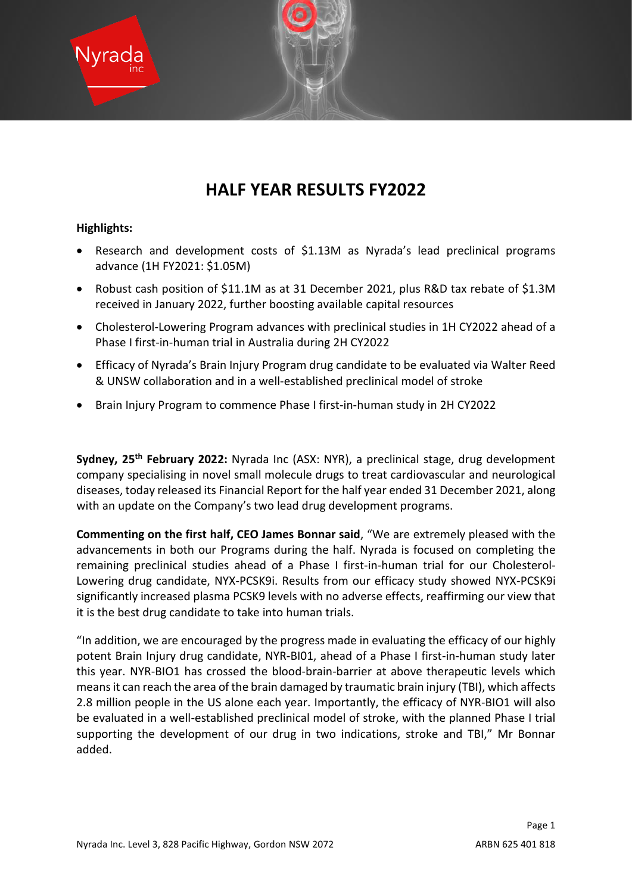

# **HALF YEAR RESULTS FY2022**

# **Highlights:**

- Research and development costs of \$1.13M as Nyrada's lead preclinical programs advance (1H FY2021: \$1.05M)
- Robust cash position of \$11.1M as at 31 December 2021, plus R&D tax rebate of \$1.3M received in January 2022, further boosting available capital resources
- Cholesterol-Lowering Program advances with preclinical studies in 1H CY2022 ahead of a Phase I first-in-human trial in Australia during 2H CY2022
- Efficacy of Nyrada's Brain Injury Program drug candidate to be evaluated via Walter Reed & UNSW collaboration and in a well-established preclinical model of stroke
- Brain Injury Program to commence Phase I first-in-human study in 2H CY2022

**Sydney, 25th February 2022:** Nyrada Inc (ASX: NYR), a preclinical stage, drug development company specialising in novel small molecule drugs to treat cardiovascular and neurological diseases, today released its Financial Report for the half year ended 31 December 2021, along with an update on the Company's two lead drug development programs.

**Commenting on the first half, CEO James Bonnar said**, "We are extremely pleased with the advancements in both our Programs during the half. Nyrada is focused on completing the remaining preclinical studies ahead of a Phase I first-in-human trial for our Cholesterol-Lowering drug candidate, NYX-PCSK9i. Results from our efficacy study showed NYX-PCSK9i significantly increased plasma PCSK9 levels with no adverse effects, reaffirming our view that it is the best drug candidate to take into human trials.

"In addition, we are encouraged by the progress made in evaluating the efficacy of our highly potent Brain Injury drug candidate, NYR-BI01, ahead of a Phase I first-in-human study later this year. NYR-BIO1 has crossed the blood-brain-barrier at above therapeutic levels which means it can reach the area of the brain damaged by traumatic brain injury (TBI), which affects 2.8 million people in the US alone each year. Importantly, the efficacy of NYR-BIO1 will also be evaluated in a well-established preclinical model of stroke, with the planned Phase I trial supporting the development of our drug in two indications, stroke and TBI," Mr Bonnar added.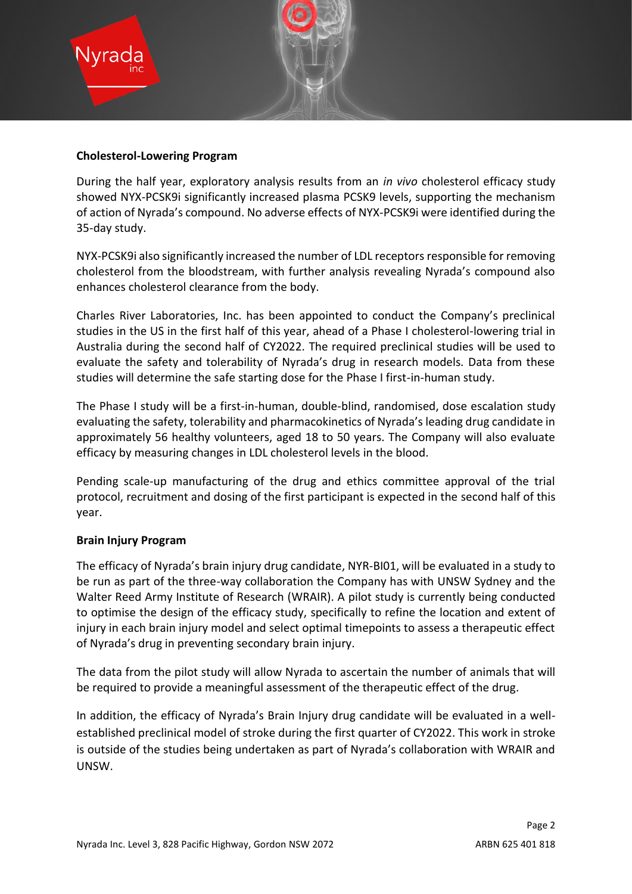

## **Cholesterol-Lowering Program**

During the half year, exploratory analysis results from an *in vivo* cholesterol efficacy study showed NYX-PCSK9i significantly increased plasma PCSK9 levels, supporting the mechanism of action of Nyrada's compound. No adverse effects of NYX-PCSK9i were identified during the 35-day study.

NYX-PCSK9i also significantly increased the number of LDL receptors responsible for removing cholesterol from the bloodstream, with further analysis revealing Nyrada's compound also enhances cholesterol clearance from the body.

Charles River Laboratories, Inc. has been appointed to conduct the Company's preclinical studies in the US in the first half of this year, ahead of a Phase I cholesterol-lowering trial in Australia during the second half of CY2022. The required preclinical studies will be used to evaluate the safety and tolerability of Nyrada's drug in research models. Data from these studies will determine the safe starting dose for the Phase I first-in-human study.

The Phase I study will be a first-in-human, double-blind, randomised, dose escalation study evaluating the safety, tolerability and pharmacokinetics of Nyrada's leading drug candidate in approximately 56 healthy volunteers, aged 18 to 50 years. The Company will also evaluate efficacy by measuring changes in LDL cholesterol levels in the blood.

Pending scale-up manufacturing of the drug and ethics committee approval of the trial protocol, recruitment and dosing of the first participant is expected in the second half of this year.

# **Brain Injury Program**

The efficacy of Nyrada's brain injury drug candidate, NYR-BI01, will be evaluated in a study to be run as part of the three-way collaboration the Company has with UNSW Sydney and the Walter Reed Army Institute of Research (WRAIR). A pilot study is currently being conducted to optimise the design of the efficacy study, specifically to refine the location and extent of injury in each brain injury model and select optimal timepoints to assess a therapeutic effect of Nyrada's drug in preventing secondary brain injury.

The data from the pilot study will allow Nyrada to ascertain the number of animals that will be required to provide a meaningful assessment of the therapeutic effect of the drug.

In addition, the efficacy of Nyrada's Brain Injury drug candidate will be evaluated in a wellestablished preclinical model of stroke during the first quarter of CY2022. This work in stroke is outside of the studies being undertaken as part of Nyrada's collaboration with WRAIR and UNSW.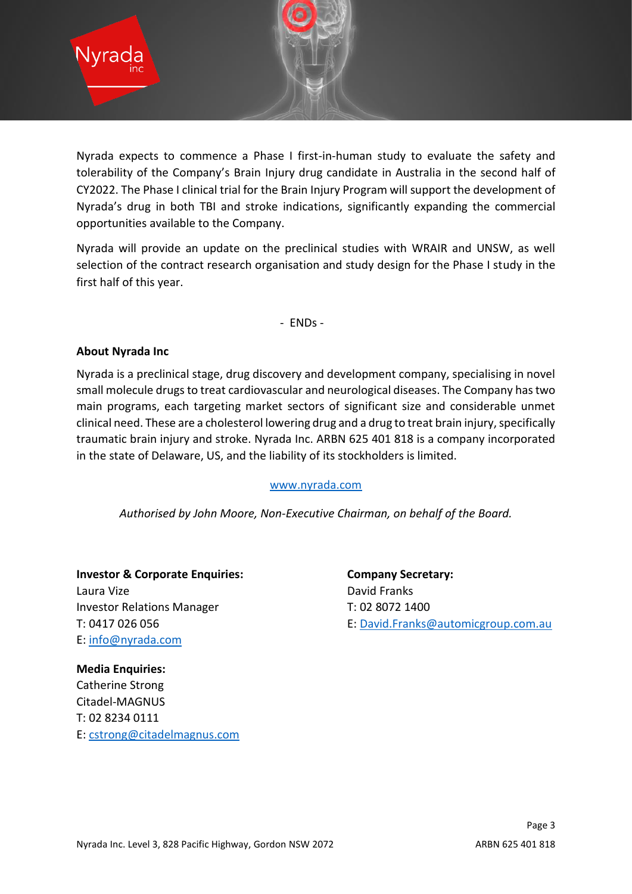

Nyrada expects to commence a Phase I first-in-human study to evaluate the safety and tolerability of the Company's Brain Injury drug candidate in Australia in the second half of CY2022. The Phase I clinical trial for the Brain Injury Program will support the development of Nyrada's drug in both TBI and stroke indications, significantly expanding the commercial opportunities available to the Company.

Nyrada will provide an update on the preclinical studies with WRAIR and UNSW, as well selection of the contract research organisation and study design for the Phase I study in the first half of this year.

- ENDs -

# **About Nyrada Inc**

Nyrada is a preclinical stage, drug discovery and development company, specialising in novel small molecule drugs to treat cardiovascular and neurological diseases. The Company has two main programs, each targeting market sectors of significant size and considerable unmet clinical need. These are a cholesterol lowering drug and a drug to treat brain injury, specifically traumatic brain injury and stroke. Nyrada Inc. ARBN 625 401 818 is a company incorporated in the state of Delaware, US, and the liability of its stockholders is limited.

### [www.nyrada.com](http://www.nyrada.com/)

*Authorised by John Moore, Non-Executive Chairman, on behalf of the Board.*

**Investor & Corporate Enquiries: Company Secretary:** Laura Vize **David Franks** Investor Relations Manager T: 02 8072 1400 E: [info@nyrada.com](mailto:info@nyrada.com)

T: 0417 026 056 E: [David.Franks@automicgroup.com.au](mailto:David.Franks@automicgroup.com.au)

**Media Enquiries:** Catherine Strong Citadel-MAGNUS T: 02 8234 0111 E: [cstrong@citadelmagnus.com](mailto:cstrong@citadelmagnus.com)